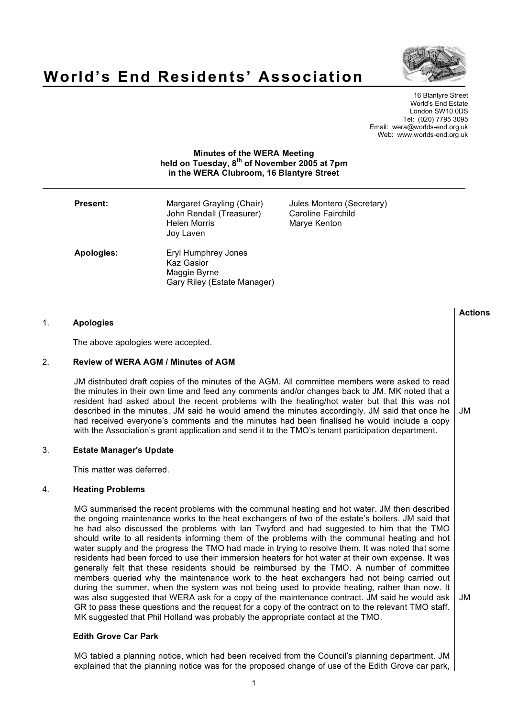

# **World's End Residents' Association**

16 Blantyre Street World's End Estate London SW10 0DS Tel: (020) 7795 3095 Email: wera@worlds-end.org.uk Web: www.worlds-end.org.uk

## **Minutes of the WERA Meeting held on Tuesday, 8th of November 2005 at 7pm in the WERA Clubroom, 16 Blantyre Street**

| <b>Present:</b> | Margaret Grayling (Chair)<br>John Rendall (Treasurer)<br><b>Helen Morris</b><br>Joy Laven | Jules Montero (Secretary)<br>Caroline Fairchild<br>Marye Kenton |  |
|-----------------|-------------------------------------------------------------------------------------------|-----------------------------------------------------------------|--|
| Apologies:      | Eryl Humphrey Jones<br><b>Kaz Gasior</b><br>Maggie Byrne<br>Gary Riley (Estate Manager)   |                                                                 |  |

| 1. | <b>Apologies</b>                                                                                                                                                                                                                                                                                                                                                                                                                                                                                                                                                                                                                                                                                                                                                                                                                                                                                                                                                                                                                                                                                                                                                                                   | <b>Actions</b> |
|----|----------------------------------------------------------------------------------------------------------------------------------------------------------------------------------------------------------------------------------------------------------------------------------------------------------------------------------------------------------------------------------------------------------------------------------------------------------------------------------------------------------------------------------------------------------------------------------------------------------------------------------------------------------------------------------------------------------------------------------------------------------------------------------------------------------------------------------------------------------------------------------------------------------------------------------------------------------------------------------------------------------------------------------------------------------------------------------------------------------------------------------------------------------------------------------------------------|----------------|
|    | The above apologies were accepted.                                                                                                                                                                                                                                                                                                                                                                                                                                                                                                                                                                                                                                                                                                                                                                                                                                                                                                                                                                                                                                                                                                                                                                 |                |
| 2. | <b>Review of WERA AGM / Minutes of AGM</b>                                                                                                                                                                                                                                                                                                                                                                                                                                                                                                                                                                                                                                                                                                                                                                                                                                                                                                                                                                                                                                                                                                                                                         |                |
|    | JM distributed draft copies of the minutes of the AGM. All committee members were asked to read<br>the minutes in their own time and feed any comments and/or changes back to JM. MK noted that a<br>resident had asked about the recent problems with the heating/hot water but that this was not<br>described in the minutes. JM said he would amend the minutes accordingly. JM said that once he<br>had received everyone's comments and the minutes had been finalised he would include a copy<br>with the Association's grant application and send it to the TMO's tenant participation department.                                                                                                                                                                                                                                                                                                                                                                                                                                                                                                                                                                                          | JM             |
| 3. | <b>Estate Manager's Update</b>                                                                                                                                                                                                                                                                                                                                                                                                                                                                                                                                                                                                                                                                                                                                                                                                                                                                                                                                                                                                                                                                                                                                                                     |                |
|    | This matter was deferred.                                                                                                                                                                                                                                                                                                                                                                                                                                                                                                                                                                                                                                                                                                                                                                                                                                                                                                                                                                                                                                                                                                                                                                          |                |
| 4. | <b>Heating Problems</b>                                                                                                                                                                                                                                                                                                                                                                                                                                                                                                                                                                                                                                                                                                                                                                                                                                                                                                                                                                                                                                                                                                                                                                            |                |
|    | MG summarised the recent problems with the communal heating and hot water. JM then described<br>the ongoing maintenance works to the heat exchangers of two of the estate's boilers. JM said that<br>he had also discussed the problems with lan Twyford and had suggested to him that the TMO<br>should write to all residents informing them of the problems with the communal heating and hot<br>water supply and the progress the TMO had made in trying to resolve them. It was noted that some<br>residents had been forced to use their immersion heaters for hot water at their own expense. It was<br>generally felt that these residents should be reimbursed by the TMO. A number of committee<br>members queried why the maintenance work to the heat exchangers had not being carried out<br>during the summer, when the system was not being used to provide heating, rather than now. It<br>was also suggested that WERA ask for a copy of the maintenance contract. JM said he would ask<br>GR to pass these questions and the request for a copy of the contract on to the relevant TMO staff.<br>MK suggested that Phil Holland was probably the appropriate contact at the TMO. | JM             |
|    | Ealth Ouanna Oan Bank                                                                                                                                                                                                                                                                                                                                                                                                                                                                                                                                                                                                                                                                                                                                                                                                                                                                                                                                                                                                                                                                                                                                                                              |                |

## **Edith Grove Car Park**

MG tabled a planning notice, which had been received from the Council's planning department. JM explained that the planning notice was for the proposed change of use of the Edith Grove car park,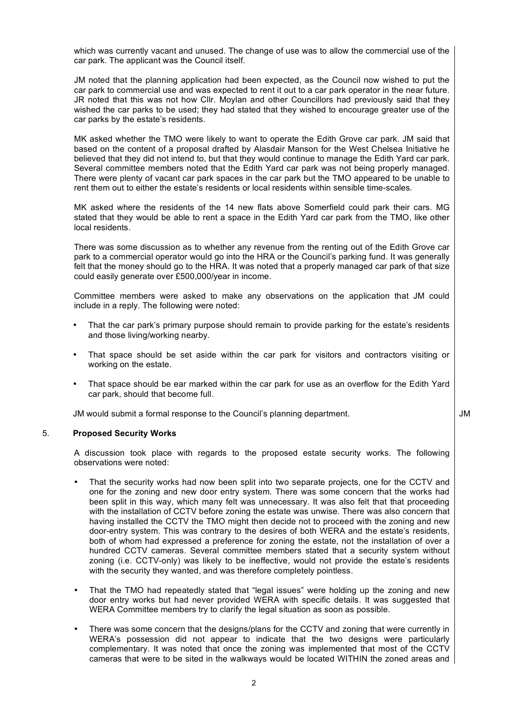which was currently vacant and unused. The change of use was to allow the commercial use of the car park. The applicant was the Council itself.

JM noted that the planning application had been expected, as the Council now wished to put the car park to commercial use and was expected to rent it out to a car park operator in the near future. JR noted that this was not how Cllr. Moylan and other Councillors had previously said that they wished the car parks to be used; they had stated that they wished to encourage greater use of the car parks by the estate's residents.

MK asked whether the TMO were likely to want to operate the Edith Grove car park. JM said that based on the content of a proposal drafted by Alasdair Manson for the West Chelsea Initiative he believed that they did not intend to, but that they would continue to manage the Edith Yard car park. Several committee members noted that the Edith Yard car park was not being properly managed. There were plenty of vacant car park spaces in the car park but the TMO appeared to be unable to rent them out to either the estate's residents or local residents within sensible time-scales.

MK asked where the residents of the 14 new flats above Somerfield could park their cars. MG stated that they would be able to rent a space in the Edith Yard car park from the TMO, like other local residents.

There was some discussion as to whether any revenue from the renting out of the Edith Grove car park to a commercial operator would go into the HRA or the Council's parking fund. It was generally felt that the money should go to the HRA. It was noted that a properly managed car park of that size could easily generate over £500,000/year in income.

Committee members were asked to make any observations on the application that JM could include in a reply. The following were noted:

- That the car park's primary purpose should remain to provide parking for the estate's residents and those living/working nearby.
- That space should be set aside within the car park for visitors and contractors visiting or working on the estate.
- That space should be ear marked within the car park for use as an overflow for the Edith Yard car park, should that become full.

JM would submit a formal response to the Council's planning department.

## 5. **Proposed Security Works**

A discussion took place with regards to the proposed estate security works. The following observations were noted:

- That the security works had now been split into two separate projects, one for the CCTV and one for the zoning and new door entry system. There was some concern that the works had been split in this way, which many felt was unnecessary. It was also felt that that proceeding with the installation of CCTV before zoning the estate was unwise. There was also concern that having installed the CCTV the TMO might then decide not to proceed with the zoning and new door-entry system. This was contrary to the desires of both WERA and the estate's residents, both of whom had expressed a preference for zoning the estate, not the installation of over a hundred CCTV cameras. Several committee members stated that a security system without zoning (i.e. CCTV-only) was likely to be ineffective, would not provide the estate's residents with the security they wanted, and was therefore completely pointless.
- That the TMO had repeatedly stated that "legal issues" were holding up the zoning and new door entry works but had never provided WERA with specific details. It was suggested that WERA Committee members try to clarify the legal situation as soon as possible.
- There was some concern that the designs/plans for the CCTV and zoning that were currently in WERA's possession did not appear to indicate that the two designs were particularly complementary. It was noted that once the zoning was implemented that most of the CCTV cameras that were to be sited in the walkways would be located WITHIN the zoned areas and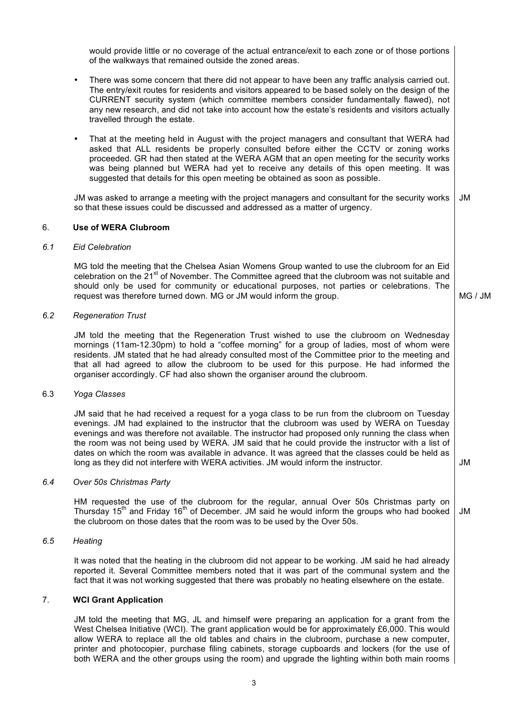would provide little or no coverage of the actual entrance/exit to each zone or of those portions of the walkways that remained outside the zoned areas.

- There was some concern that there did not appear to have been any traffic analysis carried out. The entry/exit routes for residents and visitors appeared to be based solely on the design of the CURRENT security system (which committee members consider fundamentally flawed), not any new research, and did not take into account how the estate's residents and visitors actually travelled through the estate.
- That at the meeting held in August with the project managers and consultant that WERA had asked that ALL residents be properly consulted before either the CCTV or zoning works proceeded. GR had then stated at the WERA AGM that an open meeting for the security works was being planned but WERA had yet to receive any details of this open meeting. It was suggested that details for this open meeting be obtained as soon as possible.

JM was asked to arrange a meeting with the project managers and consultant for the security works so that these issues could be discussed and addressed as a matter of urgency. JM

#### 6. **Use of WERA Clubroom**

#### *6.1 Eid Celebration*

MG told the meeting that the Chelsea Asian Womens Group wanted to use the clubroom for an Eid celebration on the  $21^{st}$  of November. The Committee agreed that the clubroom was not suitable and should only be used for community or educational purposes, not parties or celebrations. The request was therefore turned down. MG or JM would inform the group.

MG / JM

JM

## *6.2 Regeneration Trust*

JM told the meeting that the Regeneration Trust wished to use the clubroom on Wednesday mornings (11am-12.30pm) to hold a "coffee morning" for a group of ladies, most of whom were residents. JM stated that he had already consulted most of the Committee prior to the meeting and that all had agreed to allow the clubroom to be used for this purpose. He had informed the organiser accordingly. CF had also shown the organiser around the clubroom.

#### 6.3 *Yoga Classes*

JM said that he had received a request for a yoga class to be run from the clubroom on Tuesday evenings. JM had explained to the instructor that the clubroom was used by WERA on Tuesday evenings and was therefore not available. The instructor had proposed only running the class when the room was not being used by WERA. JM said that he could provide the instructor with a list of dates on which the room was available in advance. It was agreed that the classes could be held as long as they did not interfere with WERA activities. JM would inform the instructor.

#### *6.4 Over 50s Christmas Party*

HM requested the use of the clubroom for the regular, annual Over 50s Christmas party on Thursday 15<sup>th</sup> and Friday 16<sup>th</sup> of December. JM said he would inform the groups who had booked the clubroom on those dates that the room was to be used by the Over 50s. JM

## *6.5 Heating*

It was noted that the heating in the clubroom did not appear to be working. JM said he had already reported it. Several Committee members noted that it was part of the communal system and the fact that it was not working suggested that there was probably no heating elsewhere on the estate.

## 7. **WCI Grant Application**

JM told the meeting that MG, JL and himself were preparing an application for a grant from the West Chelsea Initiative (WCI). The grant application would be for approximately £6,000. This would allow WERA to replace all the old tables and chairs in the clubroom, purchase a new computer, printer and photocopier, purchase filing cabinets, storage cupboards and lockers (for the use of both WERA and the other groups using the room) and upgrade the lighting within both main rooms